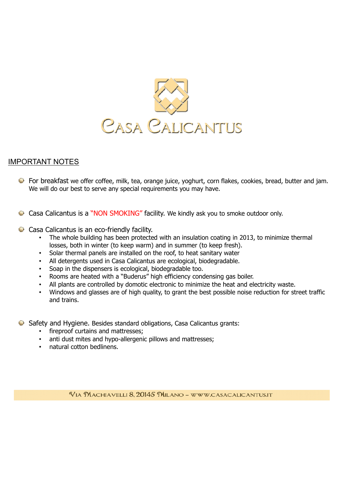

## IMPORTANT NOTES

- For breakfast we offer coffee, milk, tea, orange juice, yoghurt, corn flakes, cookies, bread, butter and jam. We will do our best to serve any special requirements you may have.
- Casa Calicantus is a "NON SMOKING" facility. We kindly ask you to smoke outdoor only.
- $\bullet$  Casa Calicantus is an eco-friendly facility.
	- The whole building has been protected with an insulation coating in 2013, to minimize thermal losses, both in winter (to keep warm) and in summer (to keep fresh).
	- Solar thermal panels are installed on the roof, to heat sanitary water
	- All detergents used in Casa Calicantus are ecological, biodegradable.
	- Soap in the dispensers is ecological, biodegradable too.
	- Rooms are heated with a "Buderus" high efficiency condensing gas boiler.
	- All plants are controlled by domotic electronic to minimize the heat and electricity waste.
	- Windows and glasses are of high quality, to grant the best possible noise reduction for street traffic and trains.
- Safety and Hygiene. Besides standard obligations, Casa Calicantus grants:
	- fireproof curtains and mattresses;
	- anti dust mites and hypo-allergenic pillows and mattresses;
	- natural cotton bedlinens.